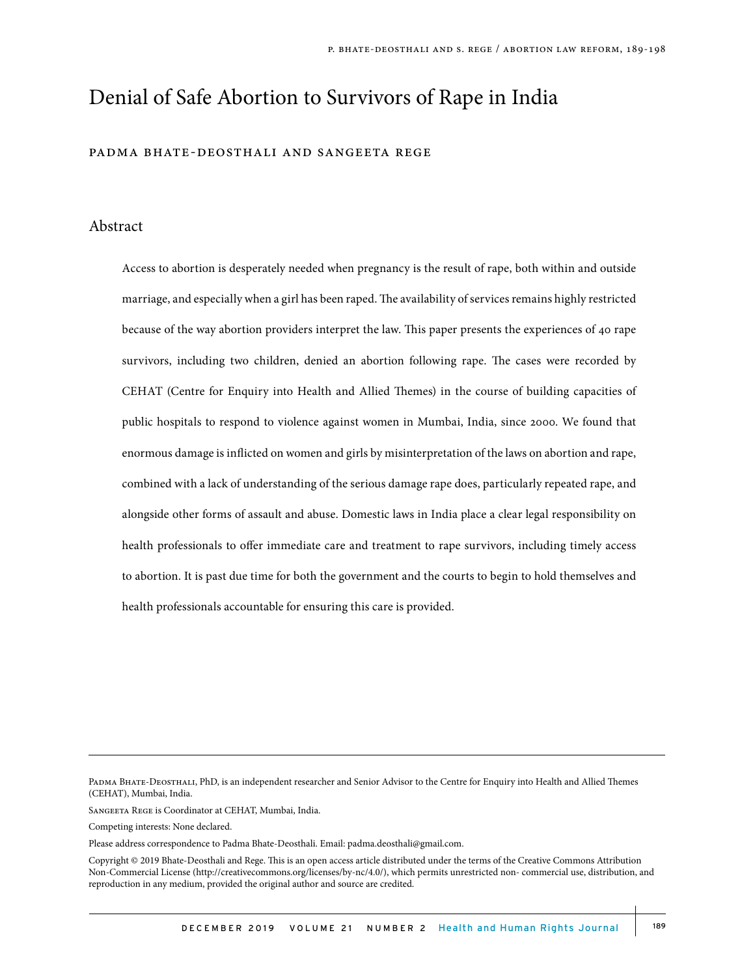# Denial of Safe Abortion to Survivors of Rape in India

#### padma bhate-deosthali and sangeeta rege

#### Abstract

Access to abortion is desperately needed when pregnancy is the result of rape, both within and outside marriage, and especially when a girl has been raped. The availability of services remains highly restricted because of the way abortion providers interpret the law. This paper presents the experiences of 40 rape survivors, including two children, denied an abortion following rape. The cases were recorded by CEHAT (Centre for Enquiry into Health and Allied Themes) in the course of building capacities of public hospitals to respond to violence against women in Mumbai, India, since 2000. We found that enormous damage is inflicted on women and girls by misinterpretation of the laws on abortion and rape, combined with a lack of understanding of the serious damage rape does, particularly repeated rape, and alongside other forms of assault and abuse. Domestic laws in India place a clear legal responsibility on health professionals to offer immediate care and treatment to rape survivors, including timely access to abortion. It is past due time for both the government and the courts to begin to hold themselves and health professionals accountable for ensuring this care is provided.

Sangeeta Rege is Coordinator at CEHAT, Mumbai, India.

Competing interests: None declared.

Please address correspondence to Padma Bhate-Deosthali. Email: padma.deosthali@gmail.com.

Padma Bhate-Deosthali, PhD, is an independent researcher and Senior Advisor to the Centre for Enquiry into Health and Allied Themes (CEHAT), Mumbai, India.

Copyright © 2019 Bhate-Deosthali and Rege. This is an open access article distributed under the terms of the Creative Commons Attribution Non-Commercial License (http://creativecommons.org/licenses/by-nc/4.0/), which permits unrestricted non- commercial use, distribution, and reproduction in any medium, provided the original author and source are credited.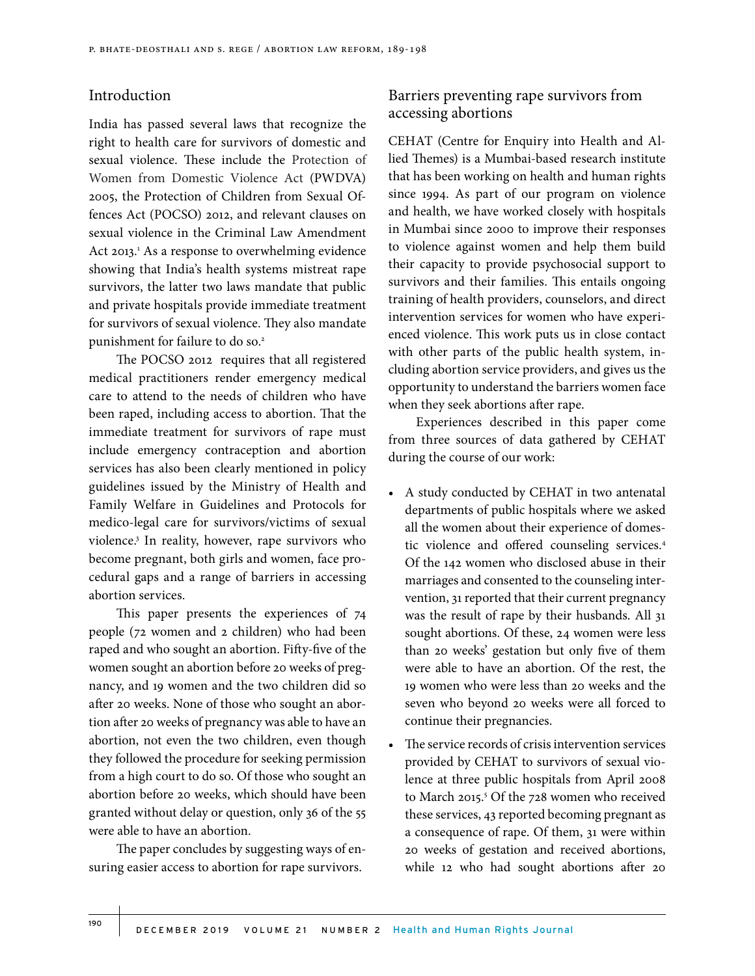### Introduction

India has passed several laws that recognize the right to health care for survivors of domestic and sexual violence. These include the Protection of Women from Domestic Violence Act (PWDVA) 2005, the Protection of Children from Sexual Offences Act (POCSO) 2012, and relevant clauses on sexual violence in the Criminal Law Amendment Act 2013.<sup>1</sup> As a response to overwhelming evidence showing that India's health systems mistreat rape survivors, the latter two laws mandate that public and private hospitals provide immediate treatment for survivors of sexual violence. They also mandate punishment for failure to do so.<sup>2</sup>

The POCSO 2012 requires that all registered medical practitioners render emergency medical care to attend to the needs of children who have been raped, including access to abortion. That the immediate treatment for survivors of rape must include emergency contraception and abortion services has also been clearly mentioned in policy guidelines issued by the Ministry of Health and Family Welfare in Guidelines and Protocols for medico-legal care for survivors/victims of sexual violence.3 In reality, however, rape survivors who become pregnant, both girls and women, face procedural gaps and a range of barriers in accessing abortion services.

This paper presents the experiences of 74 people (72 women and 2 children) who had been raped and who sought an abortion. Fifty-five of the women sought an abortion before 20 weeks of pregnancy, and 19 women and the two children did so after 20 weeks. None of those who sought an abortion after 20 weeks of pregnancy was able to have an abortion, not even the two children, even though they followed the procedure for seeking permission from a high court to do so. Of those who sought an abortion before 20 weeks, which should have been granted without delay or question, only 36 of the 55 were able to have an abortion.

The paper concludes by suggesting ways of ensuring easier access to abortion for rape survivors.

# Barriers preventing rape survivors from accessing abortions

CEHAT (Centre for Enquiry into Health and Allied Themes) is a Mumbai-based research institute that has been working on health and human rights since 1994. As part of our program on violence and health, we have worked closely with hospitals in Mumbai since 2000 to improve their responses to violence against women and help them build their capacity to provide psychosocial support to survivors and their families. This entails ongoing training of health providers, counselors, and direct intervention services for women who have experienced violence. This work puts us in close contact with other parts of the public health system, including abortion service providers, and gives us the opportunity to understand the barriers women face when they seek abortions after rape.

Experiences described in this paper come from three sources of data gathered by CEHAT during the course of our work:

- A study conducted by CEHAT in two antenatal departments of public hospitals where we asked all the women about their experience of domestic violence and offered counseling services.4 Of the 142 women who disclosed abuse in their marriages and consented to the counseling intervention, 31 reported that their current pregnancy was the result of rape by their husbands. All 31 sought abortions. Of these, 24 women were less than 20 weeks' gestation but only five of them were able to have an abortion. Of the rest, the 19 women who were less than 20 weeks and the seven who beyond 20 weeks were all forced to continue their pregnancies.
- The service records of crisis intervention services provided by CEHAT to survivors of sexual violence at three public hospitals from April 2008 to March 2015.<sup>5</sup> Of the 728 women who received these services, 43 reported becoming pregnant as a consequence of rape. Of them, 31 were within 20 weeks of gestation and received abortions, while 12 who had sought abortions after 20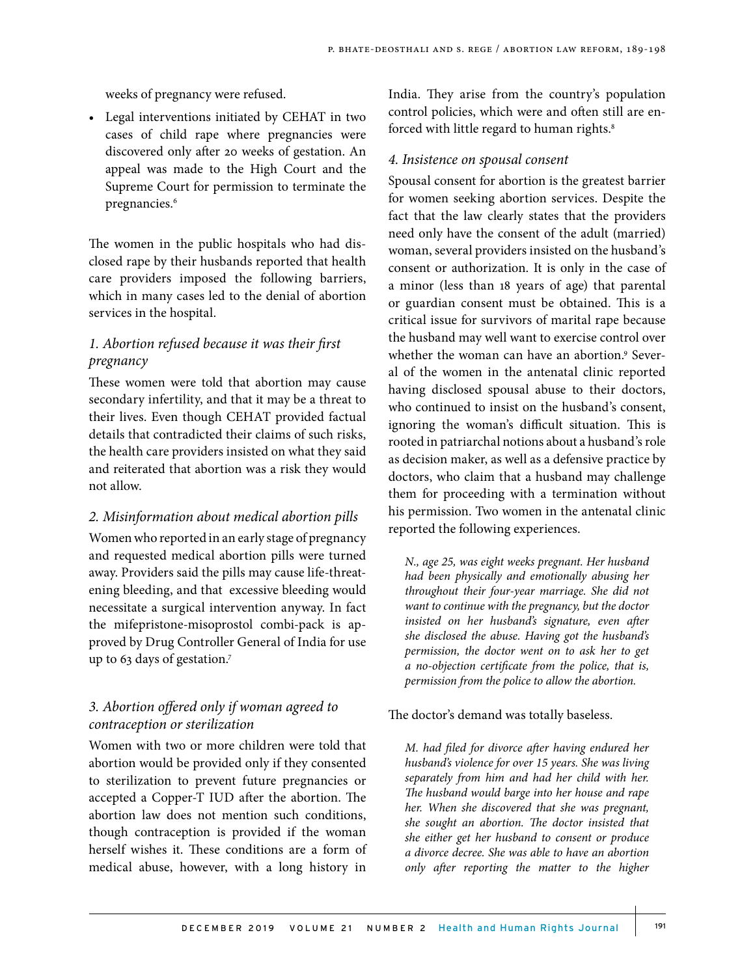weeks of pregnancy were refused.

• Legal interventions initiated by CEHAT in two cases of child rape where pregnancies were discovered only after 20 weeks of gestation. An appeal was made to the High Court and the Supreme Court for permission to terminate the pregnancies.<sup>6</sup>

The women in the public hospitals who had disclosed rape by their husbands reported that health care providers imposed the following barriers, which in many cases led to the denial of abortion services in the hospital.

# *1. Abortion refused because it was their first pregnancy*

These women were told that abortion may cause secondary infertility, and that it may be a threat to their lives. Even though CEHAT provided factual details that contradicted their claims of such risks, the health care providers insisted on what they said and reiterated that abortion was a risk they would not allow.

#### *2. Misinformation about medical abortion pills*

Women who reported in an early stage of pregnancy and requested medical abortion pills were turned away. Providers said the pills may cause life-threatening bleeding, and that excessive bleeding would necessitate a surgical intervention anyway. In fact the mifepristone-misoprostol combi-pack is approved by Drug Controller General of India for use up to 63 days of gestation.7

# *3. Abortion offered only if woman agreed to contraception or sterilization*

Women with two or more children were told that abortion would be provided only if they consented to sterilization to prevent future pregnancies or accepted a Copper-T IUD after the abortion. The abortion law does not mention such conditions, though contraception is provided if the woman herself wishes it. These conditions are a form of medical abuse, however, with a long history in

India. They arise from the country's population control policies, which were and often still are enforced with little regard to human rights.<sup>8</sup>

#### *4. Insistence on spousal consent*

Spousal consent for abortion is the greatest barrier for women seeking abortion services. Despite the fact that the law clearly states that the providers need only have the consent of the adult (married) woman, several providers insisted on the husband's consent or authorization. It is only in the case of a minor (less than 18 years of age) that parental or guardian consent must be obtained. This is a critical issue for survivors of marital rape because the husband may well want to exercise control over whether the woman can have an abortion.<sup>9</sup> Several of the women in the antenatal clinic reported having disclosed spousal abuse to their doctors, who continued to insist on the husband's consent, ignoring the woman's difficult situation. This is rooted in patriarchal notions about a husband's role as decision maker, as well as a defensive practice by doctors, who claim that a husband may challenge them for proceeding with a termination without his permission. Two women in the antenatal clinic reported the following experiences.

*N., age 25, was eight weeks pregnant. Her husband had been physically and emotionally abusing her throughout their four-year marriage. She did not want to continue with the pregnancy, but the doctor insisted on her husband's signature, even after she disclosed the abuse. Having got the husband's permission, the doctor went on to ask her to get a no-objection certificate from the police, that is, permission from the police to allow the abortion.*

#### The doctor's demand was totally baseless.

*M. had filed for divorce after having endured her husband's violence for over 15 years. She was living separately from him and had her child with her. The husband would barge into her house and rape her. When she discovered that she was pregnant, she sought an abortion. The doctor insisted that she either get her husband to consent or produce a divorce decree. She was able to have an abortion only after reporting the matter to the higher*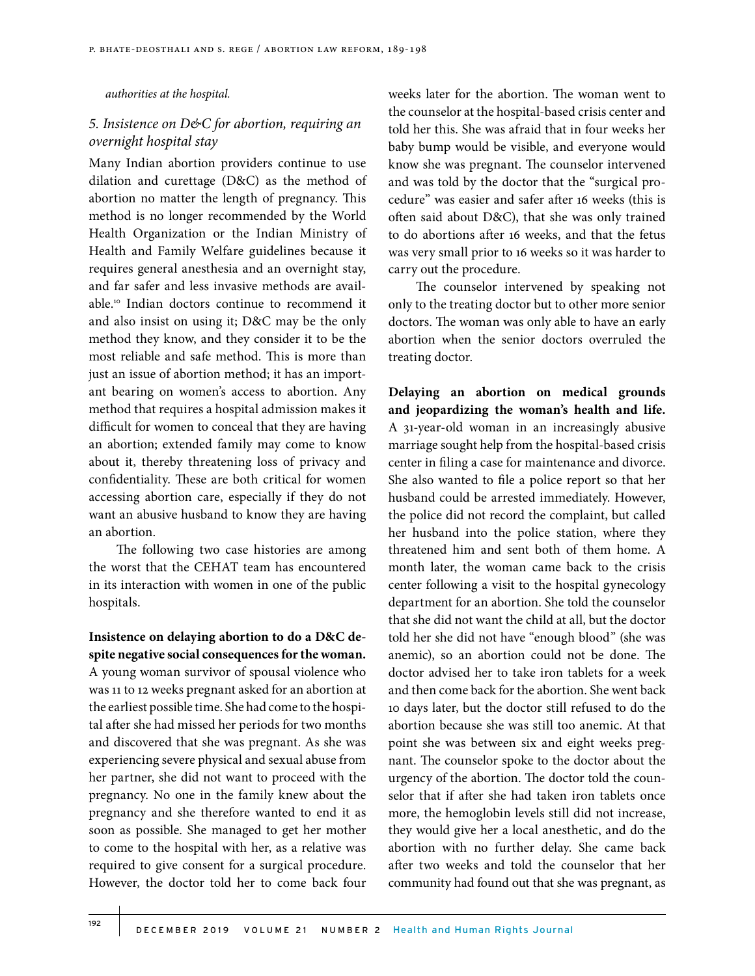*authorities at the hospital.* 

# *5. Insistence on D&C for abortion, requiring an overnight hospital stay*

Many Indian abortion providers continue to use dilation and curettage (D&C) as the method of abortion no matter the length of pregnancy. This method is no longer recommended by the World Health Organization or the Indian Ministry of Health and Family Welfare guidelines because it requires general anesthesia and an overnight stay, and far safer and less invasive methods are available.10 Indian doctors continue to recommend it and also insist on using it; D&C may be the only method they know, and they consider it to be the most reliable and safe method. This is more than just an issue of abortion method; it has an important bearing on women's access to abortion. Any method that requires a hospital admission makes it difficult for women to conceal that they are having an abortion; extended family may come to know about it, thereby threatening loss of privacy and confidentiality. These are both critical for women accessing abortion care, especially if they do not want an abusive husband to know they are having an abortion.

The following two case histories are among the worst that the CEHAT team has encountered in its interaction with women in one of the public hospitals.

**Insistence on delaying abortion to do a D&C despite negative social consequences for the woman.**  A young woman survivor of spousal violence who was 11 to 12 weeks pregnant asked for an abortion at the earliest possible time. She had come to the hospital after she had missed her periods for two months and discovered that she was pregnant. As she was experiencing severe physical and sexual abuse from her partner, she did not want to proceed with the pregnancy. No one in the family knew about the pregnancy and she therefore wanted to end it as soon as possible. She managed to get her mother to come to the hospital with her, as a relative was required to give consent for a surgical procedure. However, the doctor told her to come back four

weeks later for the abortion. The woman went to the counselor at the hospital-based crisis center and told her this. She was afraid that in four weeks her baby bump would be visible, and everyone would know she was pregnant. The counselor intervened and was told by the doctor that the "surgical procedure" was easier and safer after 16 weeks (this is often said about D&C), that she was only trained to do abortions after 16 weeks, and that the fetus was very small prior to 16 weeks so it was harder to carry out the procedure.

The counselor intervened by speaking not only to the treating doctor but to other more senior doctors. The woman was only able to have an early abortion when the senior doctors overruled the treating doctor.

**Delaying an abortion on medical grounds and jeopardizing the woman's health and life.** A 31-year-old woman in an increasingly abusive marriage sought help from the hospital-based crisis center in filing a case for maintenance and divorce. She also wanted to file a police report so that her husband could be arrested immediately. However, the police did not record the complaint, but called her husband into the police station, where they threatened him and sent both of them home. A month later, the woman came back to the crisis center following a visit to the hospital gynecology department for an abortion. She told the counselor that she did not want the child at all, but the doctor told her she did not have "enough blood" (she was anemic), so an abortion could not be done. The doctor advised her to take iron tablets for a week and then come back for the abortion. She went back 10 days later, but the doctor still refused to do the abortion because she was still too anemic. At that point she was between six and eight weeks pregnant. The counselor spoke to the doctor about the urgency of the abortion. The doctor told the counselor that if after she had taken iron tablets once more, the hemoglobin levels still did not increase, they would give her a local anesthetic, and do the abortion with no further delay. She came back after two weeks and told the counselor that her community had found out that she was pregnant, as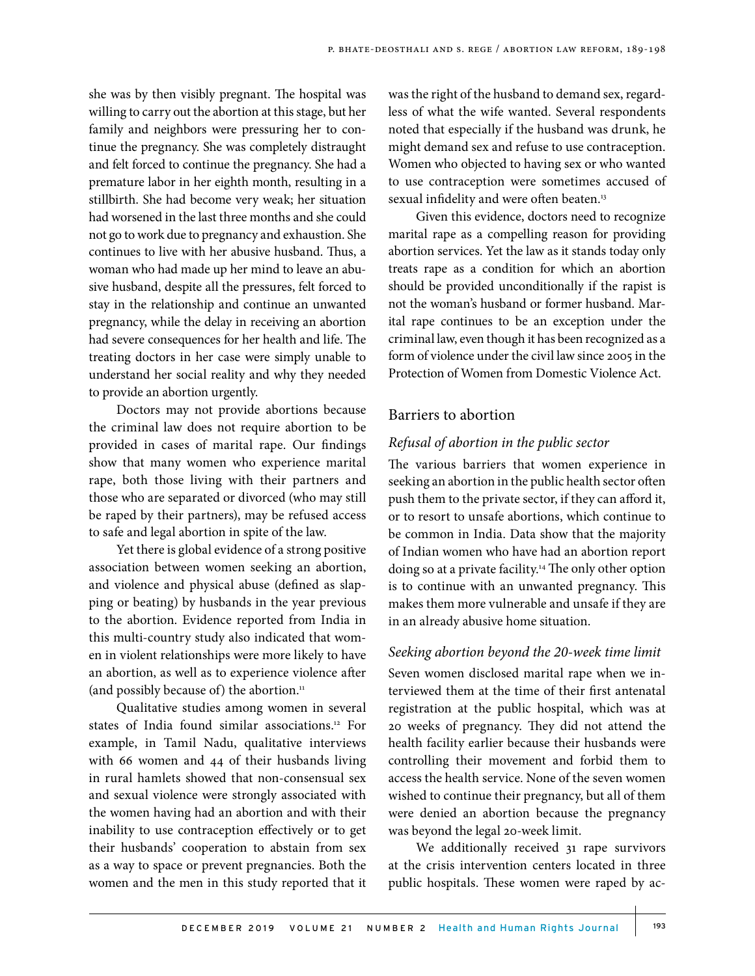she was by then visibly pregnant. The hospital was willing to carry out the abortion at this stage, but her family and neighbors were pressuring her to continue the pregnancy. She was completely distraught and felt forced to continue the pregnancy. She had a premature labor in her eighth month, resulting in a stillbirth. She had become very weak; her situation had worsened in the last three months and she could not go to work due to pregnancy and exhaustion. She continues to live with her abusive husband. Thus, a woman who had made up her mind to leave an abusive husband, despite all the pressures, felt forced to stay in the relationship and continue an unwanted pregnancy, while the delay in receiving an abortion had severe consequences for her health and life. The treating doctors in her case were simply unable to understand her social reality and why they needed to provide an abortion urgently.

Doctors may not provide abortions because the criminal law does not require abortion to be provided in cases of marital rape. Our findings show that many women who experience marital rape, both those living with their partners and those who are separated or divorced (who may still be raped by their partners), may be refused access to safe and legal abortion in spite of the law.

Yet there is global evidence of a strong positive association between women seeking an abortion, and violence and physical abuse (defined as slapping or beating) by husbands in the year previous to the abortion. Evidence reported from India in this multi-country study also indicated that women in violent relationships were more likely to have an abortion, as well as to experience violence after (and possibly because of) the abortion.<sup>11</sup>

Qualitative studies among women in several states of India found similar associations.<sup>12</sup> For example, in Tamil Nadu, qualitative interviews with 66 women and 44 of their husbands living in rural hamlets showed that non-consensual sex and sexual violence were strongly associated with the women having had an abortion and with their inability to use contraception effectively or to get their husbands' cooperation to abstain from sex as a way to space or prevent pregnancies. Both the women and the men in this study reported that it

was the right of the husband to demand sex, regardless of what the wife wanted. Several respondents noted that especially if the husband was drunk, he might demand sex and refuse to use contraception. Women who objected to having sex or who wanted to use contraception were sometimes accused of sexual infidelity and were often beaten.<sup>13</sup>

Given this evidence, doctors need to recognize marital rape as a compelling reason for providing abortion services. Yet the law as it stands today only treats rape as a condition for which an abortion should be provided unconditionally if the rapist is not the woman's husband or former husband. Marital rape continues to be an exception under the criminal law, even though it has been recognized as a form of violence under the civil law since 2005 in the Protection of Women from Domestic Violence Act.

# Barriers to abortion

## *Refusal of abortion in the public sector*

The various barriers that women experience in seeking an abortion in the public health sector often push them to the private sector, if they can afford it, or to resort to unsafe abortions, which continue to be common in India. Data show that the majority of Indian women who have had an abortion report doing so at a private facility.<sup>14</sup> The only other option is to continue with an unwanted pregnancy. This makes them more vulnerable and unsafe if they are in an already abusive home situation.

#### *Seeking abortion beyond the 20-week time limit*

Seven women disclosed marital rape when we interviewed them at the time of their first antenatal registration at the public hospital, which was at 20 weeks of pregnancy. They did not attend the health facility earlier because their husbands were controlling their movement and forbid them to access the health service. None of the seven women wished to continue their pregnancy, but all of them were denied an abortion because the pregnancy was beyond the legal 20-week limit.

We additionally received 31 rape survivors at the crisis intervention centers located in three public hospitals. These women were raped by ac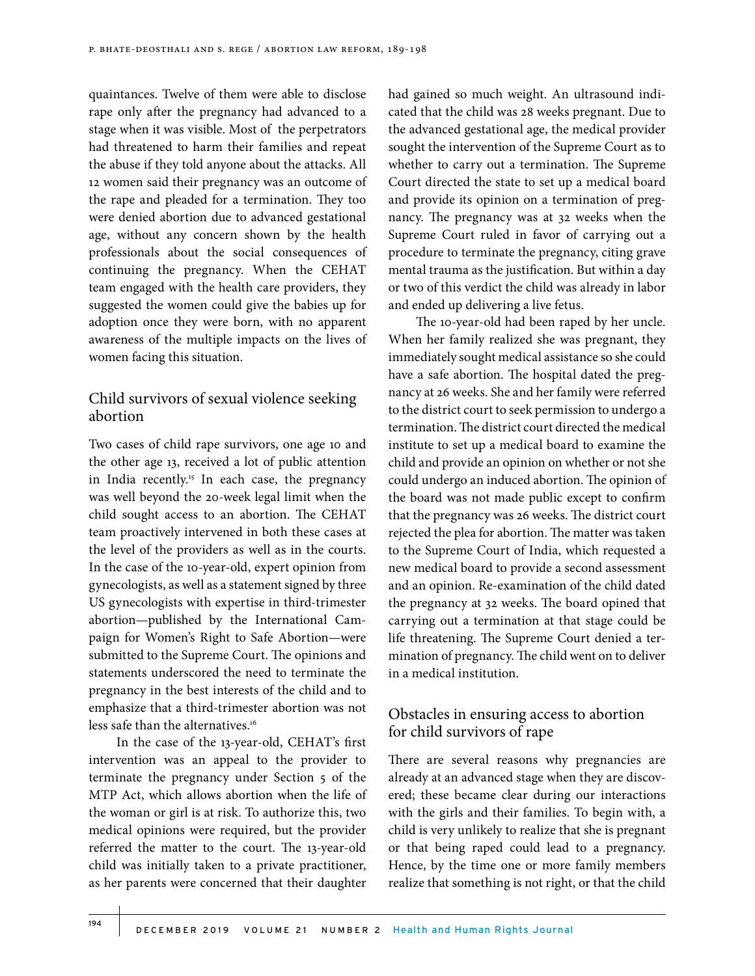quaintances. Twelve of them were able to disclose rape only after the pregnancy had advanced to a stage when it was visible. Most of the perpetrators had threatened to harm their families and repeat the abuse if they told anyone about the attacks. All 12 women said their pregnancy was an outcome of the rape and pleaded for a termination. They too were denied abortion due to advanced gestational age, without any concern shown by the health professionals about the social consequences of continuing the pregnancy. When the CEHAT team engaged with the health care providers, they suggested the women could give the babies up for adoption once they were born, with no apparent awareness of the multiple impacts on the lives of women facing this situation.

# Child survivors of sexual violence seeking abortion

Two cases of child rape survivors, one age 10 and the other age 13, received a lot of public attention in India recently.<sup>15</sup> In each case, the pregnancy was well beyond the 20-week legal limit when the child sought access to an abortion. The CEHAT team proactively intervened in both these cases at the level of the providers as well as in the courts. In the case of the 10-year-old, expert opinion from gynecologists, as well as a statement signed by three US gynecologists with expertise in third-trimester abortion—published by the International Campaign for Women's Right to Safe Abortion—were submitted to the Supreme Court. The opinions and statements underscored the need to terminate the pregnancy in the best interests of the child and to emphasize that a third-trimester abortion was not less safe than the alternatives.<sup>16</sup>

In the case of the 13-year-old, CEHAT's first intervention was an appeal to the provider to terminate the pregnancy under Section 5 of the MTP Act, which allows abortion when the life of the woman or girl is at risk. To authorize this, two medical opinions were required, but the provider referred the matter to the court. The 13-year-old child was initially taken to a private practitioner, as her parents were concerned that their daughter

had gained so much weight. An ultrasound indicated that the child was 28 weeks pregnant. Due to the advanced gestational age, the medical provider sought the intervention of the Supreme Court as to whether to carry out a termination. The Supreme Court directed the state to set up a medical board and provide its opinion on a termination of pregnancy. The pregnancy was at 32 weeks when the Supreme Court ruled in favor of carrying out a procedure to terminate the pregnancy, citing grave mental trauma as the justification. But within a day or two of this verdict the child was already in labor and ended up delivering a live fetus.

The 10-year-old had been raped by her uncle. When her family realized she was pregnant, they immediately sought medical assistance so she could have a safe abortion. The hospital dated the pregnancy at 26 weeks. She and her family were referred to the district court to seek permission to undergo a termination. The district court directed the medical institute to set up a medical board to examine the child and provide an opinion on whether or not she could undergo an induced abortion. The opinion of the board was not made public except to confirm that the pregnancy was 26 weeks. The district court rejected the plea for abortion. The matter was taken to the Supreme Court of India, which requested a new medical board to provide a second assessment and an opinion. Re-examination of the child dated the pregnancy at 32 weeks. The board opined that carrying out a termination at that stage could be life threatening. The Supreme Court denied a termination of pregnancy. The child went on to deliver in a medical institution.

# Obstacles in ensuring access to abortion for child survivors of rape

There are several reasons why pregnancies are already at an advanced stage when they are discovered; these became clear during our interactions with the girls and their families. To begin with, a child is very unlikely to realize that she is pregnant or that being raped could lead to a pregnancy. Hence, by the time one or more family members realize that something is not right, or that the child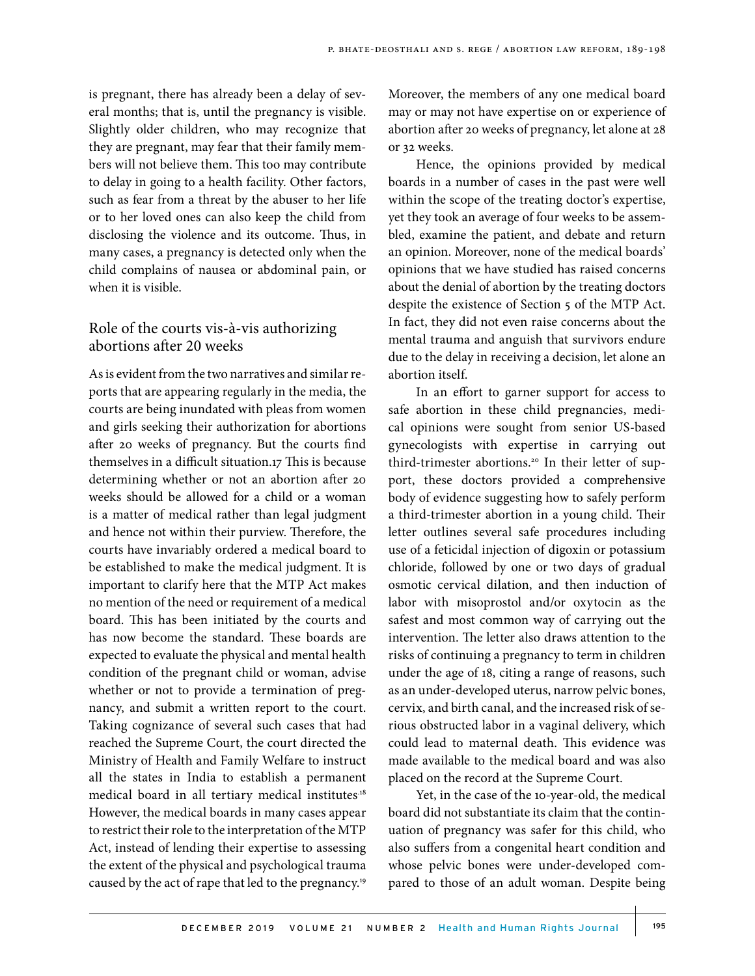is pregnant, there has already been a delay of several months; that is, until the pregnancy is visible. Slightly older children, who may recognize that they are pregnant, may fear that their family members will not believe them. This too may contribute to delay in going to a health facility. Other factors, such as fear from a threat by the abuser to her life or to her loved ones can also keep the child from disclosing the violence and its outcome. Thus, in many cases, a pregnancy is detected only when the child complains of nausea or abdominal pain, or when it is visible.

# Role of the courts vis-à-vis authorizing abortions after 20 weeks

As is evident from the two narratives and similar reports that are appearing regularly in the media, the courts are being inundated with pleas from women and girls seeking their authorization for abortions after 20 weeks of pregnancy. But the courts find themselves in a difficult situation.17 This is because determining whether or not an abortion after 20 weeks should be allowed for a child or a woman is a matter of medical rather than legal judgment and hence not within their purview. Therefore, the courts have invariably ordered a medical board to be established to make the medical judgment. It is important to clarify here that the MTP Act makes no mention of the need or requirement of a medical board. This has been initiated by the courts and has now become the standard. These boards are expected to evaluate the physical and mental health condition of the pregnant child or woman, advise whether or not to provide a termination of pregnancy, and submit a written report to the court. Taking cognizance of several such cases that had reached the Supreme Court, the court directed the Ministry of Health and Family Welfare to instruct all the states in India to establish a permanent medical board in all tertiary medical institutes.<sup>18</sup> However, the medical boards in many cases appear to restrict their role to the interpretation of the MTP Act, instead of lending their expertise to assessing the extent of the physical and psychological trauma caused by the act of rape that led to the pregnancy.19

Moreover, the members of any one medical board may or may not have expertise on or experience of abortion after 20 weeks of pregnancy, let alone at 28 or 32 weeks.

Hence, the opinions provided by medical boards in a number of cases in the past were well within the scope of the treating doctor's expertise, yet they took an average of four weeks to be assembled, examine the patient, and debate and return an opinion. Moreover, none of the medical boards' opinions that we have studied has raised concerns about the denial of abortion by the treating doctors despite the existence of Section 5 of the MTP Act. In fact, they did not even raise concerns about the mental trauma and anguish that survivors endure due to the delay in receiving a decision, let alone an abortion itself.

In an effort to garner support for access to safe abortion in these child pregnancies, medical opinions were sought from senior US-based gynecologists with expertise in carrying out third-trimester abortions.<sup>20</sup> In their letter of support, these doctors provided a comprehensive body of evidence suggesting how to safely perform a third-trimester abortion in a young child. Their letter outlines several safe procedures including use of a feticidal injection of digoxin or potassium chloride, followed by one or two days of gradual osmotic cervical dilation, and then induction of labor with misoprostol and/or oxytocin as the safest and most common way of carrying out the intervention. The letter also draws attention to the risks of continuing a pregnancy to term in children under the age of 18, citing a range of reasons, such as an under-developed uterus, narrow pelvic bones, cervix, and birth canal, and the increased risk of serious obstructed labor in a vaginal delivery, which could lead to maternal death. This evidence was made available to the medical board and was also placed on the record at the Supreme Court.

Yet, in the case of the 10-year-old, the medical board did not substantiate its claim that the continuation of pregnancy was safer for this child, who also suffers from a congenital heart condition and whose pelvic bones were under-developed compared to those of an adult woman. Despite being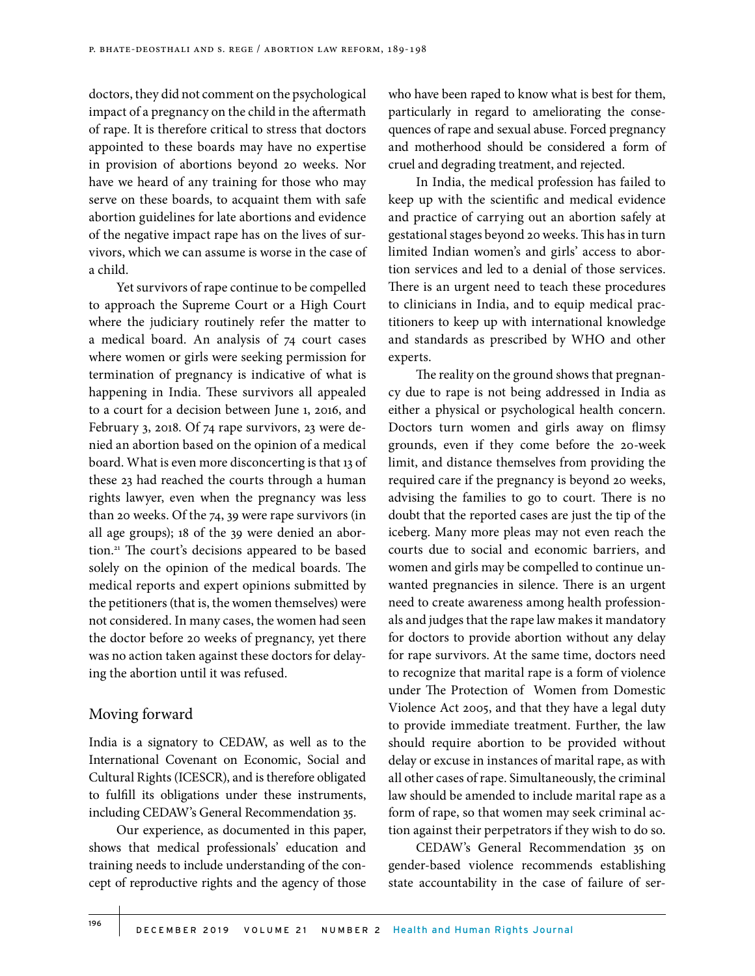doctors, they did not comment on the psychological impact of a pregnancy on the child in the aftermath of rape. It is therefore critical to stress that doctors appointed to these boards may have no expertise in provision of abortions beyond 20 weeks. Nor have we heard of any training for those who may serve on these boards, to acquaint them with safe abortion guidelines for late abortions and evidence of the negative impact rape has on the lives of survivors, which we can assume is worse in the case of a child.

Yet survivors of rape continue to be compelled to approach the Supreme Court or a High Court where the judiciary routinely refer the matter to a medical board. An analysis of 74 court cases where women or girls were seeking permission for termination of pregnancy is indicative of what is happening in India. These survivors all appealed to a court for a decision between June 1, 2016, and February 3, 2018. Of 74 rape survivors, 23 were denied an abortion based on the opinion of a medical board. What is even more disconcerting is that 13 of these 23 had reached the courts through a human rights lawyer, even when the pregnancy was less than 20 weeks. Of the 74, 39 were rape survivors (in all age groups); 18 of the 39 were denied an abortion.21 The court's decisions appeared to be based solely on the opinion of the medical boards. The medical reports and expert opinions submitted by the petitioners (that is, the women themselves) were not considered. In many cases, the women had seen the doctor before 20 weeks of pregnancy, yet there was no action taken against these doctors for delaying the abortion until it was refused.

#### Moving forward

India is a signatory to CEDAW, as well as to the International Covenant on Economic, Social and Cultural Rights (ICESCR), and is therefore obligated to fulfill its obligations under these instruments, including CEDAW's General Recommendation 35.

Our experience, as documented in this paper, shows that medical professionals' education and training needs to include understanding of the concept of reproductive rights and the agency of those who have been raped to know what is best for them, particularly in regard to ameliorating the consequences of rape and sexual abuse. Forced pregnancy and motherhood should be considered a form of cruel and degrading treatment, and rejected.

In India, the medical profession has failed to keep up with the scientific and medical evidence and practice of carrying out an abortion safely at gestational stages beyond 20 weeks. This has in turn limited Indian women's and girls' access to abortion services and led to a denial of those services. There is an urgent need to teach these procedures to clinicians in India, and to equip medical practitioners to keep up with international knowledge and standards as prescribed by WHO and other experts.

The reality on the ground shows that pregnancy due to rape is not being addressed in India as either a physical or psychological health concern. Doctors turn women and girls away on flimsy grounds, even if they come before the 20-week limit, and distance themselves from providing the required care if the pregnancy is beyond 20 weeks, advising the families to go to court. There is no doubt that the reported cases are just the tip of the iceberg. Many more pleas may not even reach the courts due to social and economic barriers, and women and girls may be compelled to continue unwanted pregnancies in silence. There is an urgent need to create awareness among health professionals and judges that the rape law makes it mandatory for doctors to provide abortion without any delay for rape survivors. At the same time, doctors need to recognize that marital rape is a form of violence under The Protection of Women from Domestic Violence Act 2005, and that they have a legal duty to provide immediate treatment. Further, the law should require abortion to be provided without delay or excuse in instances of marital rape, as with all other cases of rape. Simultaneously, the criminal law should be amended to include marital rape as a form of rape, so that women may seek criminal action against their perpetrators if they wish to do so.

CEDAW's General Recommendation 35 on gender-based violence recommends establishing state accountability in the case of failure of ser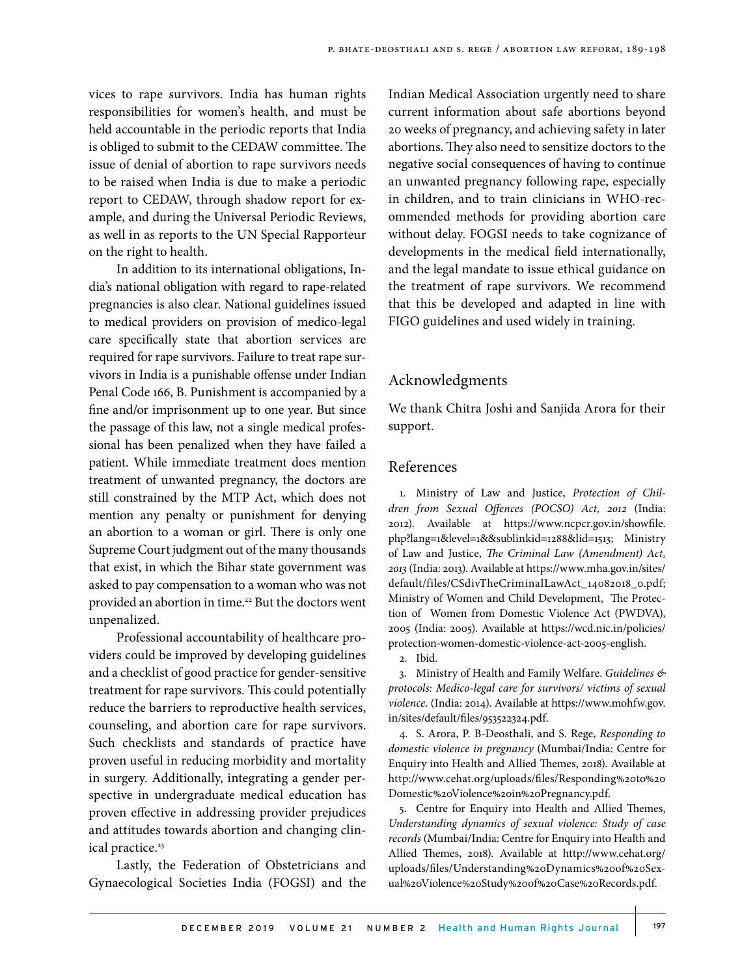vices to rape survivors. India has human rights responsibilities for women's health, and must be held accountable in the periodic reports that India is obliged to submit to the CEDAW committee. The issue of denial of abortion to rape survivors needs to be raised when India is due to make a periodic report to CEDAW, through shadow report for example, and during the Universal Periodic Reviews, as well in as reports to the UN Special Rapporteur on the right to health.

In addition to its international obligations, India's national obligation with regard to rape-related pregnancies is also clear. National guidelines issued to medical providers on provision of medico-legal care specifically state that abortion services are required for rape survivors. Failure to treat rape survivors in India is a punishable offense under Indian Penal Code 166, B. Punishment is accompanied by a fine and/or imprisonment up to one year. But since the passage of this law, not a single medical professional has been penalized when they have failed a patient. While immediate treatment does mention treatment of unwanted pregnancy, the doctors are still constrained by the MTP Act, which does not mention any penalty or punishment for denying an abortion to a woman or girl. There is only one Supreme Court judgment out of the many thousands that exist, in which the Bihar state government was asked to pay compensation to a woman who was not provided an abortion in time.<sup>22</sup> But the doctors went unpenalized.

Professional accountability of healthcare providers could be improved by developing guidelines and a checklist of good practice for gender-sensitive treatment for rape survivors. This could potentially reduce the barriers to reproductive health services, counseling, and abortion care for rape survivors. Such checklists and standards of practice have proven useful in reducing morbidity and mortality in surgery. Additionally, integrating a gender perspective in undergraduate medical education has proven effective in addressing provider prejudices and attitudes towards abortion and changing clinical practice.<sup>23</sup>

Lastly, the Federation of Obstetricians and Gynaecological Societies India (FOGSI) and the

Indian Medical Association urgently need to share current information about safe abortions beyond 20 weeks of pregnancy, and achieving safety in later abortions. They also need to sensitize doctors to the negative social consequences of having to continue an unwanted pregnancy following rape, especially in children, and to train clinicians in WHO-recommended methods for providing abortion care without delay. FOGSI needs to take cognizance of developments in the medical field internationally, and the legal mandate to issue ethical guidance on the treatment of rape survivors. We recommend that this be developed and adapted in line with FIGO guidelines and used widely in training.

#### Acknowledgments

We thank Chitra Joshi and Sanjida Arora for their support.

#### References

1. Ministry of Law and Justice, *Protection of Children from Sexual Offences (POCSO) Act, 2012* (India: 2012). Available at https://www.ncpcr.gov.in/showfile. php?lang=1&level=1&&sublinkid=1288&lid=1513; Ministry of Law and Justice, *The Criminal Law (Amendment) Act, 2013* (India: 2013). Available at https://www.mha.gov.in/sites/ default/files/CSdivTheCriminalLawAct\_14082018\_0.pdf; Ministry of Women and Child Development, The Protection of Women from Domestic Violence Act (PWDVA), 2005 (India: 2005). Available at https://wcd.nic.in/policies/ protection-women-domestic-violence-act-2005-english.

2. Ibid.

3. Ministry of Health and Family Welfare. *Guidelines & protocols: Medico-legal care for survivors/ victims of sexual violence*. (India: 2014). Available at https://www.mohfw.gov. in/sites/default/files/953522324.pdf.

4. S. Arora, P. B-Deosthali, and S. Rege, *Responding to domestic violence in pregnancy* (Mumbai/India: Centre for Enquiry into Health and Allied Themes, 2018). Available at http://www.cehat.org/uploads/files/Responding%20to%20 Domestic%20Violence%20in%20Pregnancy.pdf.

5. Centre for Enquiry into Health and Allied Themes, *Understanding dynamics of sexual violence: Study of case records* (Mumbai/India: Centre for Enquiry into Health and Allied Themes, 2018). Available at http://www.cehat.org/ uploads/files/Understanding%20Dynamics%20of%20Sexual%20Violence%20Study%20of%20Case%20Records.pdf.